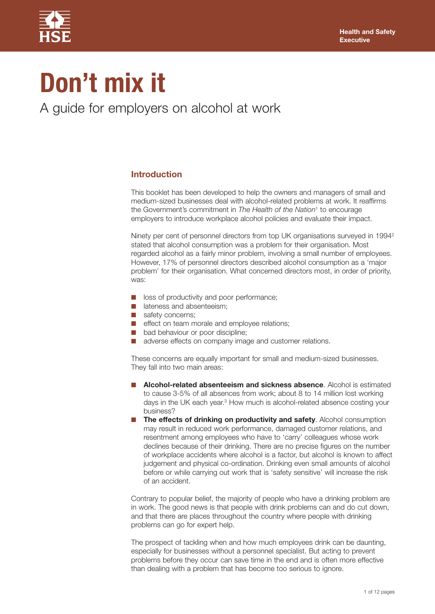

# **Don't mix it**

A guide for employers on alcohol at work

# **Introduction**

This booklet has been developed to help the owners and managers of small and medium-sized businesses deal with alcohol-related problems at work. It reaffirms the Government's commitment in *The Health of the Nation*<sup>1</sup> to encourage employers to introduce workplace alcohol policies and evaluate their impact.

Ninety per cent of personnel directors from top UK organisations surveyed in 19942 stated that alcohol consumption was a problem for their organisation. Most regarded alcohol as a fairly minor problem, involving a small number of employees. However, 17% of personnel directors described alcohol consumption as a 'major problem' for their organisation. What concerned directors most, in order of priority, was:

- loss of productivity and poor performance;
- lateness and absenteeism;
- **■** safety concerns;
- effect on team morale and employee relations;
- bad behaviour or poor discipline;
- adverse effects on company image and customer relations.

These concerns are equally important for small and medium-sized businesses. They fall into two main areas:

- **■ Alcohol-related absenteeism and sickness absence**. Alcohol is estimated to cause 3-5% of all absences from work; about 8 to 14 million lost working days in the UK each year. <sup>3</sup> How much is alcohol-related absence costing your business?
- **■ The effects of drinking on productivity and safety**. Alcohol consumption may result in reduced work performance, damaged customer relations, and resentment among employees who have to 'carry' colleagues whose work declines because of their drinking. There are no precise figures on the number of workplace accidents where alcohol is a factor, but alcohol is known to affect judgement and physical co-ordination. Drinking even small amounts of alcohol before or while carrying out work that is 'safety sensitive' will increase the risk of an accident.

Contrary to popular belief, the majority of people who have a drinking problem are in work. The good news is that people with drink problems can and do cut down, and that there are places throughout the country where people with drinking problems can go for expert help.

The prospect of tackling when and how much employees drink can be daunting, especially for businesses without a personnel specialist. But acting to prevent problems before they occur can save time in the end and is often more effective than dealing with a problem that has become too serious to ignore.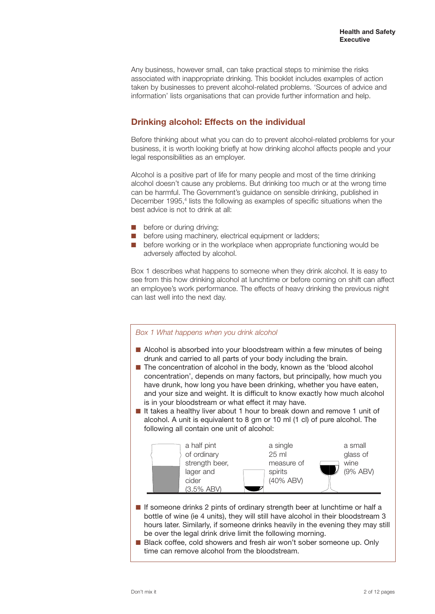Any business, however small, can take practical steps to minimise the risks associated with inappropriate drinking. This booklet includes examples of action taken by businesses to prevent alcohol-related problems. 'Sources of advice and information' lists organisations that can provide further information and help.

# **Drinking alcohol: Effects on the individual**

Before thinking about what you can do to prevent alcohol-related problems for your business, it is worth looking briefly at how drinking alcohol affects people and your legal responsibilities as an employer.

Alcohol is a positive part of life for many people and most of the time drinking alcohol doesn't cause any problems. But drinking too much or at the wrong time can be harmful. The Government's guidance on sensible drinking, published in December 1995, <sup>4</sup> lists the following as examples of specific situations when the best advice is not to drink at all:

- before or during driving:
- before using machinery, electrical equipment or ladders;
- before working or in the workplace when appropriate functioning would be adversely affected by alcohol.

Box 1 describes what happens to someone when they drink alcohol. It is easy to see from this how drinking alcohol at lunchtime or before coming on shift can affect an employee's work performance. The effects of heavy drinking the previous night can last well into the next day.

#### *Box 1 What happens when you drink alcohol*

- Alcohol is absorbed into your bloodstream within a few minutes of being drunk and carried to all parts of your body including the brain.
- The concentration of alcohol in the body, known as the 'blood alcohol concentration', depends on many factors, but principally, how much you have drunk, how long you have been drinking, whether you have eaten, and your size and weight. It is difficult to know exactly how much alcohol is in your bloodstream or what effect it may have.
- It takes a healthy liver about 1 hour to break down and remove 1 unit of alcohol. A unit is equivalent to 8 gm or 10 ml (1 cl) of pure alcohol. The following all contain one unit of alcohol:



- **■** If someone drinks 2 pints of ordinary strength beer at lunchtime or half a bottle of wine (ie 4 units), they will still have alcohol in their bloodstream 3 hours later. Similarly, if someone drinks heavily in the evening they may still be over the legal drink drive limit the following morning.
- Black coffee, cold showers and fresh air won't sober someone up. Only time can remove alcohol from the bloodstream.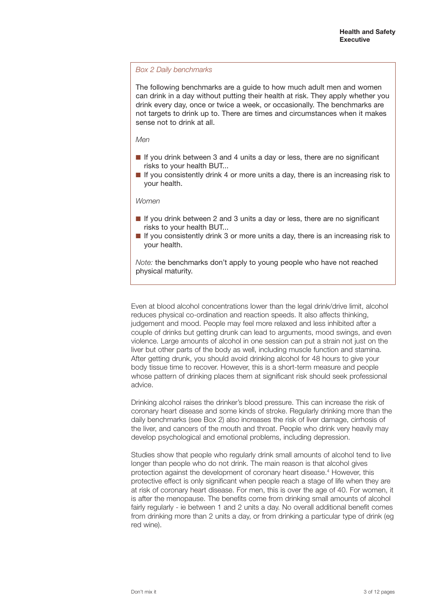#### *Box 2 Daily benchmarks*

The following benchmarks are a guide to how much adult men and women can drink in a day without putting their health at risk. They apply whether you drink every day, once or twice a week, or occasionally. The benchmarks are not targets to drink up to. There are times and circumstances when it makes sense not to drink at all.

#### *Men*

- If you drink between 3 and 4 units a day or less, there are no significant risks to your health BUT...
- **■** If you consistently drink 4 or more units a day, there is an increasing risk to your health.

*Women*

- If you drink between 2 and 3 units a day or less, there are no significant risks to your health BUT...
- If you consistently drink 3 or more units a day, there is an increasing risk to your health.

*Note:* the benchmarks don't apply to young people who have not reached physical maturity.

Even at blood alcohol concentrations lower than the legal drink/drive limit, alcohol reduces physical co-ordination and reaction speeds. It also affects thinking, judgement and mood. People may feel more relaxed and less inhibited after a couple of drinks but getting drunk can lead to arguments, mood swings, and even violence. Large amounts of alcohol in one session can put a strain not just on the liver but other parts of the body as well, including muscle function and stamina. After getting drunk, you should avoid drinking alcohol for 48 hours to give your body tissue time to recover. However, this is a short-term measure and people whose pattern of drinking places them at significant risk should seek professional advice.

Drinking alcohol raises the drinker's blood pressure. This can increase the risk of coronary heart disease and some kinds of stroke. Regularly drinking more than the daily benchmarks (see Box 2) also increases the risk of liver damage, cirrhosis of the liver, and cancers of the mouth and throat. People who drink very heavily may develop psychological and emotional problems, including depression.

Studies show that people who regularly drink small amounts of alcohol tend to live longer than people who do not drink. The main reason is that alcohol gives protection against the development of coronary heart disease. <sup>4</sup> However, this protective effect is only significant when people reach a stage of life when they are at risk of coronary heart disease. For men, this is over the age of 40. For women, it is after the menopause. The benefits come from drinking small amounts of alcohol fairly regularly - ie between 1 and 2 units a day. No overall additional benefit comes from drinking more than 2 units a day, or from drinking a particular type of drink (eg red wine).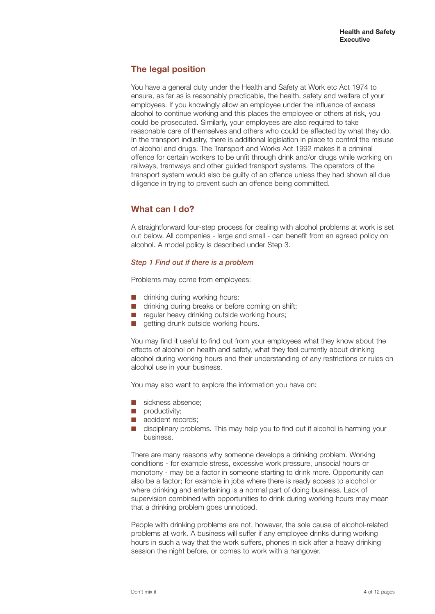# **The legal position**

You have a general duty under the Health and Safety at Work etc Act 1974 to ensure, as far as is reasonably practicable, the health, safety and welfare of your employees. If you knowingly allow an employee under the influence of excess alcohol to continue working and this places the employee or others at risk, you could be prosecuted. Similarly, your employees are also required to take reasonable care of themselves and others who could be affected by what they do. In the transport industry, there is additional legislation in place to control the misuse of alcohol and drugs. The Transport and Works Act 1992 makes it a criminal offence for certain workers to be unfit through drink and/or drugs while working on railways, tramways and other guided transport systems. The operators of the transport system would also be guilty of an offence unless they had shown all due diligence in trying to prevent such an offence being committed.

# **What can I do?**

A straightforward four-step process for dealing with alcohol problems at work is set out below. All companies - large and small - can benefit from an agreed policy on alcohol. A model policy is described under Step 3.

### *Step 1 Find out if there is a problem*

Problems may come from employees:

- drinking during working hours;
- drinking during breaks or before coming on shift;
- regular heavy drinking outside working hours;
- getting drunk outside working hours.

You may find it useful to find out from your employees what they know about the effects of alcohol on health and safety, what they feel currently about drinking alcohol during working hours and their understanding of any restrictions or rules on alcohol use in your business.

You may also want to explore the information you have on:

- **■** sickness absence;
- **■** productivity;
- **■** accident records;
- disciplinary problems. This may help you to find out if alcohol is harming your business.

There are many reasons why someone develops a drinking problem. Working conditions - for example stress, excessive work pressure, unsocial hours or monotony - may be a factor in someone starting to drink more. Opportunity can also be a factor; for example in jobs where there is ready access to alcohol or where drinking and entertaining is a normal part of doing business. Lack of supervision combined with opportunities to drink during working hours may mean that a drinking problem goes unnoticed.

People with drinking problems are not, however, the sole cause of alcohol-related problems at work. A business will suffer if any employee drinks during working hours in such a way that the work suffers, phones in sick after a heavy drinking session the night before, or comes to work with a hangover.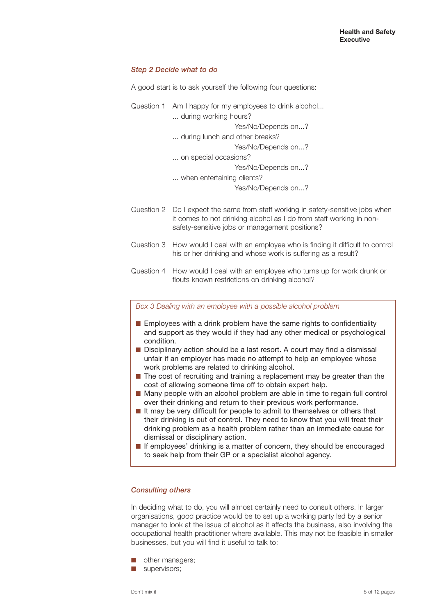#### *Step 2 Decide what to do*

A good start is to ask yourself the following four questions:

|  | Question 1 Am I happy for my employees to drink alcohol |
|--|---------------------------------------------------------|
|  | during working hours?                                   |
|  | Yes/No/Depends on?                                      |
|  | during lunch and other breaks?                          |
|  | Yes/No/Depends on?                                      |
|  | on special occasions?                                   |
|  | Yes/No/Depends on?                                      |
|  | when entertaining clients?                              |
|  | Yes/No/Depends on?                                      |
|  |                                                         |

- Question 2 Do I expect the same from staff working in safety-sensitive jobs when it comes to not drinking alcohol as I do from staff working in nonsafety-sensitive jobs or management positions?
- Question 3 How would I deal with an employee who is finding it difficult to control his or her drinking and whose work is suffering as a result?
- Question 4 How would I deal with an employee who turns up for work drunk or flouts known restrictions on drinking alcohol?

*Box 3 Dealing with an employee with a possible alcohol problem*

- Employees with a drink problem have the same rights to confidentiality and support as they would if they had any other medical or psychological condition.
- Disciplinary action should be a last resort. A court may find a dismissal unfair if an employer has made no attempt to help an employee whose work problems are related to drinking alcohol.
- The cost of recruiting and training a replacement may be greater than the cost of allowing someone time off to obtain expert help.
- Many people with an alcohol problem are able in time to regain full control over their drinking and return to their previous work performance.
- It may be very difficult for people to admit to themselves or others that their drinking is out of control. They need to know that you will treat their drinking problem as a health problem rather than an immediate cause for dismissal or disciplinary action.
- If employees' drinking is a matter of concern, they should be encouraged to seek help from their GP or a specialist alcohol agency.

#### *Consulting others*

In deciding what to do, you will almost certainly need to consult others. In larger organisations, good practice would be to set up a working party led by a senior manager to look at the issue of alcohol as it affects the business, also involving the occupational health practitioner where available. This may not be feasible in smaller businesses, but you will find it useful to talk to:

- **■** other managers;
- supervisors;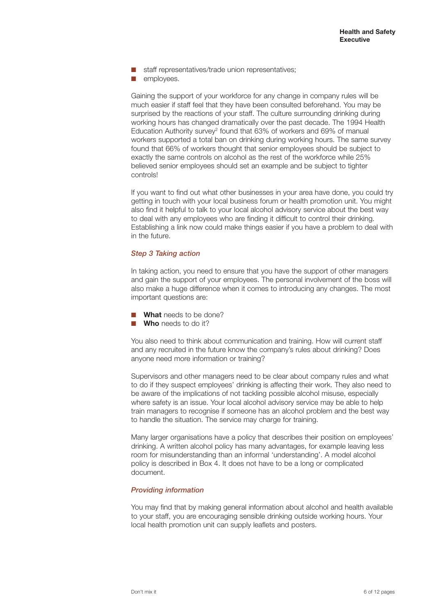- staff representatives/trade union representatives:
- **■** employees.

Gaining the support of your workforce for any change in company rules will be much easier if staff feel that they have been consulted beforehand. You may be surprised by the reactions of your staff. The culture surrounding drinking during working hours has changed dramatically over the past decade. The 1994 Health Education Authority survey<sup>2</sup> found that 63% of workers and 69% of manual workers supported a total ban on drinking during working hours. The same survey found that 66% of workers thought that senior employees should be subject to exactly the same controls on alcohol as the rest of the workforce while 25% believed senior employees should set an example and be subject to tighter controls!

If you want to find out what other businesses in your area have done, you could try getting in touch with your local business forum or health promotion unit. You might also find it helpful to talk to your local alcohol advisory service about the best way to deal with any employees who are finding it difficult to control their drinking. Establishing a link now could make things easier if you have a problem to deal with in the future.

#### *Step 3 Taking action*

In taking action, you need to ensure that you have the support of other managers and gain the support of your employees. The personal involvement of the boss will also make a huge difference when it comes to introducing any changes. The most important questions are:

**What** needs to be done?

**Who** needs to do it?

You also need to think about communication and training. How will current staff and any recruited in the future know the company's rules about drinking? Does anyone need more information or training?

Supervisors and other managers need to be clear about company rules and what to do if they suspect employees' drinking is affecting their work. They also need to be aware of the implications of not tackling possible alcohol misuse, especially where safety is an issue. Your local alcohol advisory service may be able to help train managers to recognise if someone has an alcohol problem and the best way to handle the situation. The service may charge for training.

Many larger organisations have a policy that describes their position on employees' drinking. A written alcohol policy has many advantages, for example leaving less room for misunderstanding than an informal 'understanding'. A model alcohol policy is described in Box 4. It does not have to be a long or complicated document.

#### *Providing information*

You may find that by making general information about alcohol and health available to your staff, you are encouraging sensible drinking outside working hours. Your local health promotion unit can supply leaflets and posters.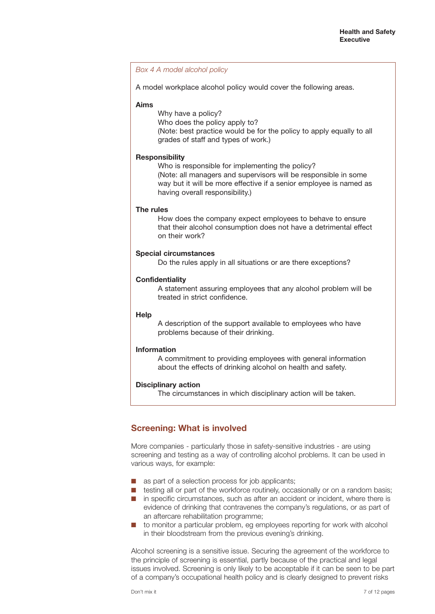#### *Box 4 A model alcohol policy*

A model workplace alcohol policy would cover the following areas.

#### **Aims**

Why have a policy?

Who does the policy apply to? (Note: best practice would be for the policy to apply equally to all grades of staff and types of work.)

#### **Responsibility**

Who is responsible for implementing the policy? (Note: all managers and supervisors will be responsible in some way but it will be more effective if a senior employee is named as having overall responsibility.)

#### **The rules**

How does the company expect employees to behave to ensure that their alcohol consumption does not have a detrimental effect on their work?

#### **Special circumstances**

Do the rules apply in all situations or are there exceptions?

#### **Confidentiality**

A statement assuring employees that any alcohol problem will be treated in strict confidence.

#### **Help**

A description of the support available to employees who have problems because of their drinking.

#### **Information**

A commitment to providing employees with general information about the effects of drinking alcohol on health and safety.

#### **Disciplinary action**

The circumstances in which disciplinary action will be taken.

# **Screening: What is involved**

More companies - particularly those in safety-sensitive industries - are using screening and testing as a way of controlling alcohol problems. It can be used in various ways, for example:

- as part of a selection process for job applicants;
- testing all or part of the workforce routinely, occasionally or on a random basis;
- in specific circumstances, such as after an accident or incident, where there is evidence of drinking that contravenes the company's regulations, or as part of an aftercare rehabilitation programme;
- to monitor a particular problem, eg employees reporting for work with alcohol in their bloodstream from the previous evening's drinking.

Alcohol screening is a sensitive issue. Securing the agreement of the workforce to the principle of screening is essential, partly because of the practical and legal issues involved. Screening is only likely to be acceptable if it can be seen to be part of a company's occupational health policy and is clearly designed to prevent risks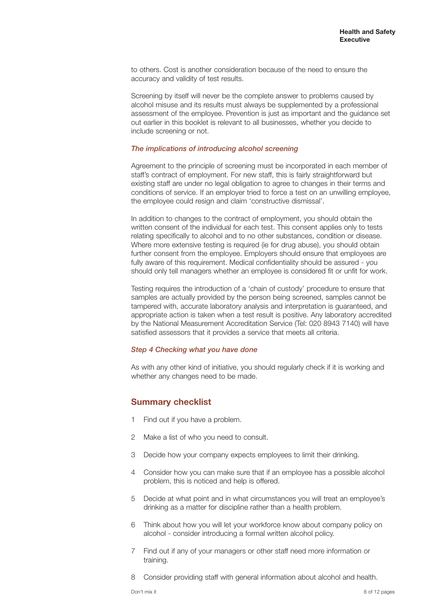to others. Cost is another consideration because of the need to ensure the accuracy and validity of test results.

Screening by itself will never be the complete answer to problems caused by alcohol misuse and its results must always be supplemented by a professional assessment of the employee. Prevention is just as important and the guidance set out earlier in this booklet is relevant to all businesses, whether you decide to include screening or not.

#### *The implications of introducing alcohol screening*

Agreement to the principle of screening must be incorporated in each member of staff's contract of employment. For new staff, this is fairly straightforward but existing staff are under no legal obligation to agree to changes in their terms and conditions of service. If an employer tried to force a test on an unwilling employee, the employee could resign and claim 'constructive dismissal'.

In addition to changes to the contract of employment, you should obtain the written consent of the individual for each test. This consent applies only to tests relating specifically to alcohol and to no other substances, condition or disease. Where more extensive testing is required (ie for drug abuse), you should obtain further consent from the employee. Employers should ensure that employees are fully aware of this requirement. Medical confidentiality should be assured - you should only tell managers whether an employee is considered fit or unfit for work.

Testing requires the introduction of a 'chain of custody' procedure to ensure that samples are actually provided by the person being screened, samples cannot be tampered with, accurate laboratory analysis and interpretation is guaranteed, and appropriate action is taken when a test result is positive. Any laboratory accredited by the National Measurement Accreditation Service (Tel: 020 8943 7140) will have satisfied assessors that it provides a service that meets all criteria.

#### *Step 4 Checking what you have done*

As with any other kind of initiative, you should regularly check if it is working and whether any changes need to be made.

## **Summary checklist**

- 1 Find out if you have a problem.
- 2 Make a list of who you need to consult.
- 3 Decide how your company expects employees to limit their drinking.
- 4 Consider how you can make sure that if an employee has a possible alcohol problem, this is noticed and help is offered.
- 5 Decide at what point and in what circumstances you will treat an employee's drinking as a matter for discipline rather than a health problem.
- 6 Think about how you will let your workforce know about company policy on alcohol - consider introducing a formal written alcohol policy.
- 7 Find out if any of your managers or other staff need more information or training.
- 8 Consider providing staff with general information about alcohol and health.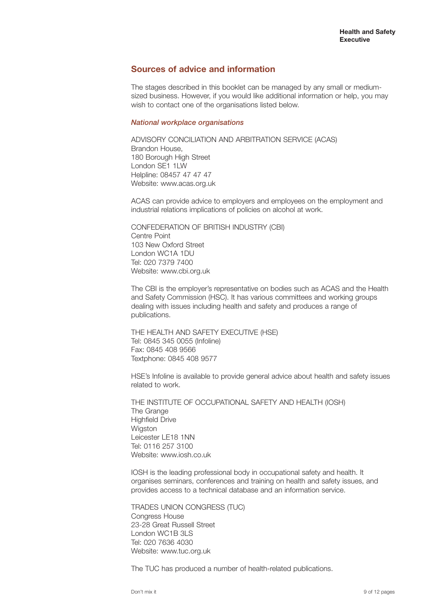## **Sources of advice and information**

The stages described in this booklet can be managed by any small or mediumsized business. However, if you would like additional information or help, you may wish to contact one of the organisations listed below.

#### *National workplace organisations*

ADVISORY CONCILIATION AND ARBITRATION SERVICE (ACAS) Brandon House, 180 Borough High Street London SE1 1LW Helpline: 08457 47 47 47 Website: www.acas.org.uk

ACAS can provide advice to employers and employees on the employment and industrial relations implications of policies on alcohol at work.

CONFEDERATION OF BRITISH INDUSTRY (CBI) Centre Point 103 New Oxford Street London WC1A 1DU Tel: 020 7379 7400 Website: www.cbi.org.uk

The CBI is the employer's representative on bodies such as ACAS and the Health and Safety Commission (HSC). It has various committees and working groups dealing with issues including health and safety and produces a range of publications.

THE HEALTH AND SAFETY EXECUTIVE (HSE) Tel: 0845 345 0055 (Infoline) Fax: 0845 408 9566 Textphone: 0845 408 9577

HSE's Infoline is available to provide general advice about health and safety issues related to work.

THE INSTITUTE OF OCCUPATIONAL SAFETY AND HEALTH (IOSH) The Grange Highfield Drive Wigston Leicester LE18 1NN Tel: 0116 257 3100 Website: www.iosh.co.uk

IOSH is the leading professional body in occupational safety and health. It organises seminars, conferences and training on health and safety issues, and provides access to a technical database and an information service.

TRADES UNION CONGRESS (TUC) Congress House 23-28 Great Russell Street London WC1B 3LS Tel: 020 7636 4030 Website: www.tuc.org.uk

The TUC has produced a number of health-related publications.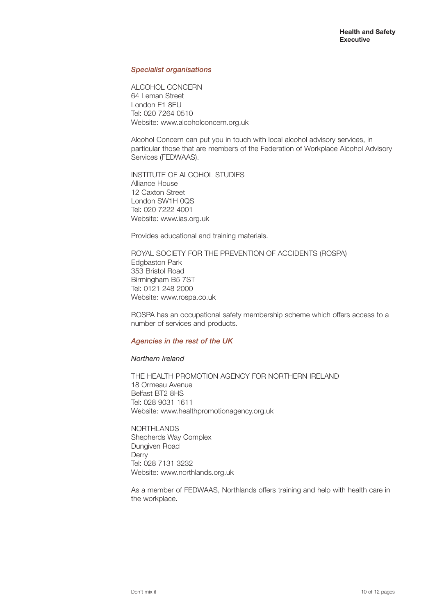#### *Specialist organisations*

ALCOHOL CONCERN 64 Leman Street London E1 8EU Tel: 020 7264 0510 Website: www.alcoholconcern.org.uk

Alcohol Concern can put you in touch with local alcohol advisory services, in particular those that are members of the Federation of Workplace Alcohol Advisory Services (FEDWAAS).

INSTITUTE OF ALCOHOL STUDIES Alliance House 12 Caxton Street London SW1H 0QS Tel: 020 7222 4001 Website: www.ias.org.uk

Provides educational and training materials.

ROYAL SOCIETY FOR THE PREVENTION OF ACCIDENTS (ROSPA) Edgbaston Park 353 Bristol Road Birmingham B5 7ST Tel: 0121 248 2000 Website: www.rospa.co.uk

ROSPA has an occupational safety membership scheme which offers access to a number of services and products.

#### *Agencies in the rest of the UK*

#### *Northern Ireland*

THE HEALTH PROMOTION AGENCY FOR NORTHERN IRELAND 18 Ormeau Avenue Belfast BT2 8HS Tel: 028 9031 1611 Website: www.healthpromotionagency.org.uk

NORTHLANDS Shepherds Way Complex Dungiven Road **Derry** Tel: 028 7131 3232 Website: www.northlands.org.uk

As a member of FEDWAAS, Northlands offers training and help with health care in the workplace.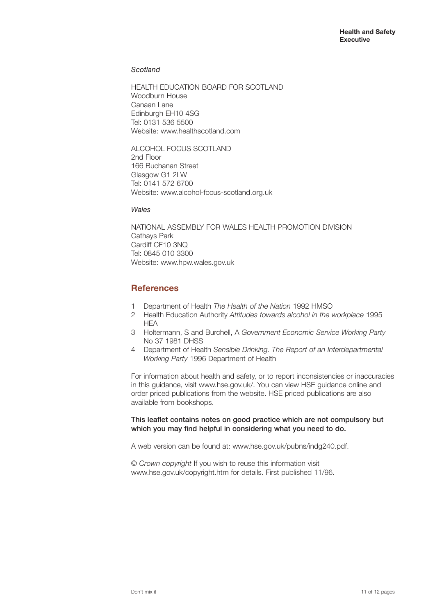#### *Scotland*

HEALTH EDUCATION BOARD FOR SCOTLAND Woodburn House Canaan Lane Edinburgh EH10 4SG Tel: 0131 536 5500 Website: www.healthscotland.com

ALCOHOL FOCUS SCOTLAND 2nd Floor 166 Buchanan Street Glasgow G1 2LW Tel: 0141 572 6700 Website: www.alcohol-focus-scotland.org.uk

*Wales*

NATIONAL ASSEMBLY FOR WALES HEALTH PROMOTION DIVISION Cathays Park Cardiff CF10 3NQ Tel: 0845 010 3300 Website: www.hpw.wales.gov.uk

## **References**

- 1 Department of Health *The Health of the Nation* 1992 HMSO
- 2 Health Education Authority *Attitudes towards alcohol in the workplace* 1995 **HEA**
- 3 Holtermann, S and Burchell, A *Government Economic Service Working Party* No 37 1981 DHSS
- 4 Department of Health *Sensible Drinking. The Report of an Interdepartmental Working Party* 1996 Department of Health

For information about health and safety, or to report inconsistencies or inaccuracies in this guidance, visit www.hse.gov.uk/. You can view HSE guidance online and order priced publications from the website. HSE priced publications are also available from bookshops.

**This leaflet contains notes on good practice which are not compulsory but which you may find helpful in considering what you need to do.**

A web version can be found at: www.hse.gov.uk/pubns/indg240.pdf.

© *Crown copyright* If you wish to reuse this information visit www.hse.gov.uk/copyright.htm for details. First published 11/96.